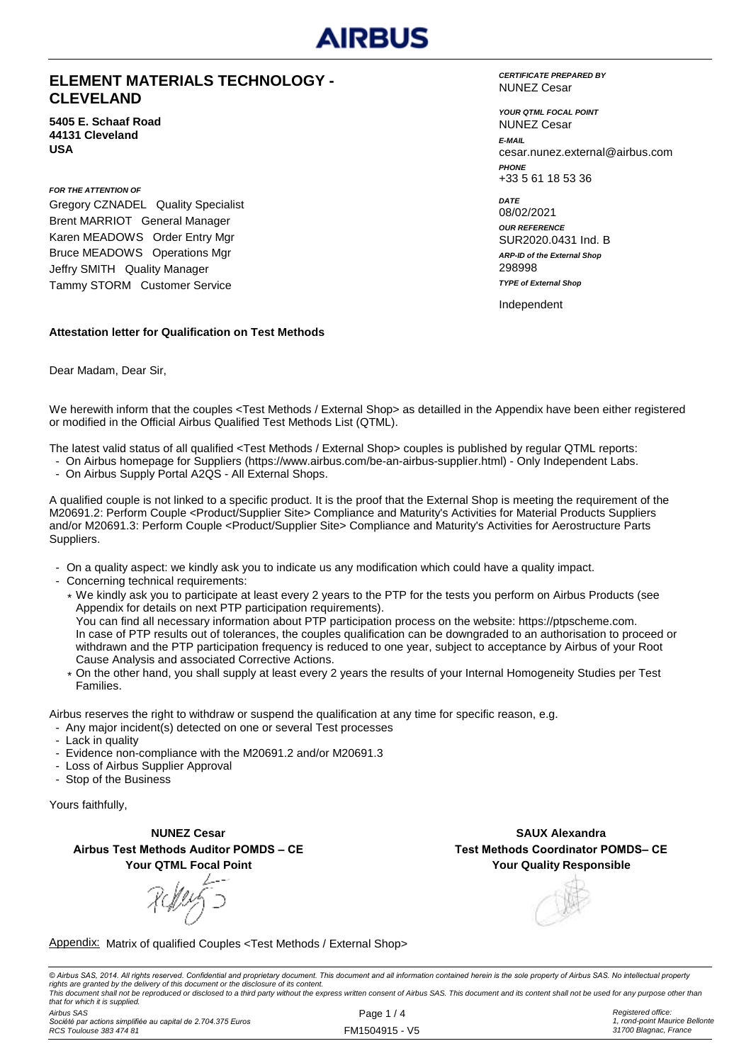## AIRRUS

### **ELEMENT MATERIALS TECHNOLOGY - CLEVELAND**

**5405 E. Schaaf Road 44131 Cleveland USA**

*FOR THE ATTENTION OF* Gregory CZNADEL Quality Specialist Brent MARRIOT General Manager Karen MEADOWS Order Entry Mgr Bruce MEADOWS Operations Mgr Jeffry SMITH Quality Manager Tammy STORM Customer Service

#### *CERTIFICATE PREPARED BY* NUNEZ Cesar

*YOUR QTML FOCAL POINT E-MAIL* cesar.nunez.external@airbus.com *PHONE* +33 5 61 18 53 36 NUNEZ Cesar

*ARP-ID of the External Shop DATE* 08/02/2021 *OUR REFERENCE* SUR2020.0431 Ind. B 298998 *TYPE of External Shop*

Independent

### **Attestation letter for Qualification on Test Methods**

Dear Madam, Dear Sir,

We herewith inform that the couples <Test Methods / External Shop> as detailled in the Appendix have been either registered or modified in the Official Airbus Qualified Test Methods List (QTML).

The latest valid status of all qualified <Test Methods / External Shop> couples is published by regular QTML reports:

- On Airbus homepage for Suppliers (https://www.airbus.com/be-an-airbus-supplier.html) Only Independent Labs.
- On Airbus Supply Portal A2QS All External Shops.

A qualified couple is not linked to a specific product. It is the proof that the External Shop is meeting the requirement of the M20691.2: Perform Couple <Product/Supplier Site> Compliance and Maturity's Activities for Material Products Suppliers and/or M20691.3: Perform Couple <Product/Supplier Site> Compliance and Maturity's Activities for Aerostructure Parts Suppliers.

- On a quality aspect: we kindly ask you to indicate us any modification which could have a quality impact.
- Concerning technical requirements:
	- \* We kindly ask you to participate at least every 2 years to the PTP for the tests you perform on Airbus Products (see Appendix for details on next PTP participation requirements). You can find all necessary information about PTP participation process on the website: https://ptpscheme.com. In case of PTP results out of tolerances, the couples qualification can be downgraded to an authorisation to proceed or withdrawn and the PTP participation frequency is reduced to one year, subject to acceptance by Airbus of your Root Cause Analysis and associated Corrective Actions.
	- \* On the other hand, you shall supply at least every 2 years the results of your Internal Homogeneity Studies per Test Families.

Airbus reserves the right to withdraw or suspend the qualification at any time for specific reason, e.g.

- Any major incident(s) detected on one or several Test processes
- Lack in quality
- Evidence non-compliance with the M20691.2 and/or M20691.3
- Loss of Airbus Supplier Approval
- Stop of the Business

Yours faithfully,

**NUNEZ Cesar Airbus Test Methods Auditor POMDS – CE Your QTML Focal Point**

RMY 5

**Your Quality Responsible SAUX Alexandra Test Methods Coordinator POMDS– CE**

Appendix: Matrix of qualified Couples <Test Methods / External Shop>

© Airbus SAS, 2014. All rights reserved. Confidential and proprietary document. This document and all information contained herein is the sole property of Airbus SAS. No intellectual property rights are granted by the delivery of this document or the disclosure of its content.<br>This document shall not be reproduced or disclosed to a third party without the express written consent of Airbus SAS. This document and *that for which it is supplied.*

*Airbus SAS Société par actions simplifiée au capital de 2.704.375 Euros RCS Toulouse 383 474 81*

Page 1 / 4 FM1504915 - V5 *Registered office: 1, rond-point Maurice Bellonte 31700 Blagnac, France*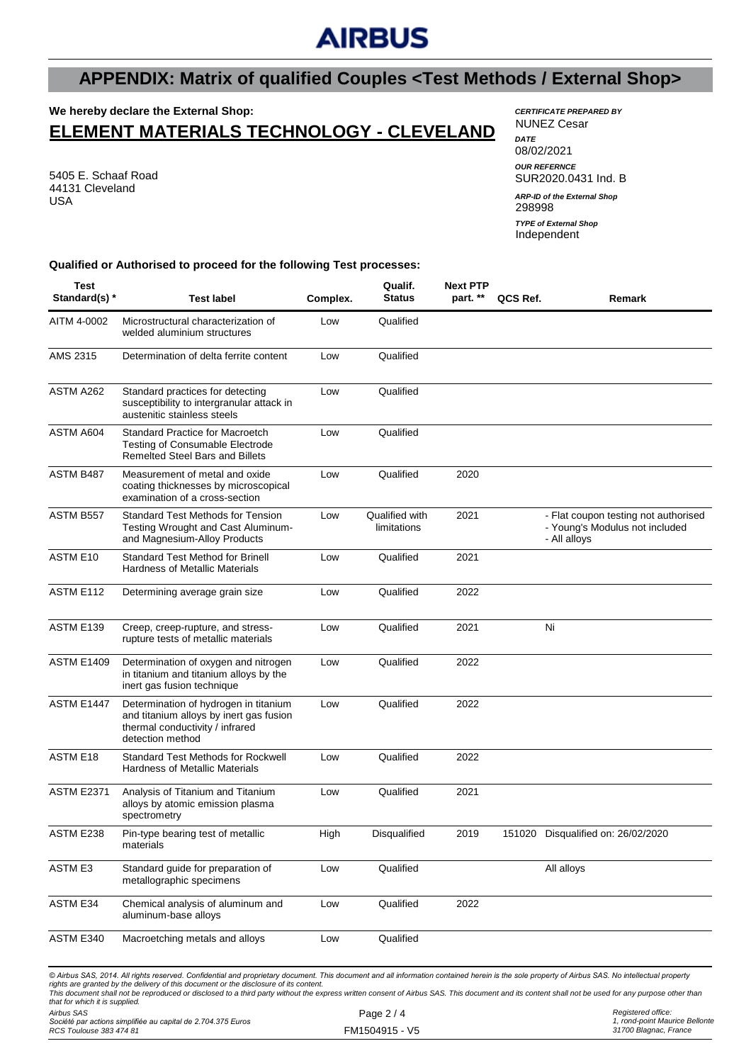## **AIRBUS**

## **APPENDIX: Matrix of qualified Couples <Test Methods / External Shop>**

## **We hereby declare the External Shop:**

## **ELEMENT MATERIALS TECHNOLOGY - CLEVELAND**

5405 E. Schaaf Road 44131 Cleveland USA

#### *CERTIFICATE PREPARED BY* NUNEZ Cesar *DATE* 08/02/2021

*OUR REFERNCE* SUR2020.0431 Ind. B

298998 *ARP-ID of the External Shop* Independent *TYPE of External Shop*

#### **Qualified or Authorised to proceed for the following Test processes:**

| <b>Test</b><br>Standard(s) *   | <b>Test label</b>                                                                                                                                                                                                                                                                                                                                                                                                                                                                             | Complex. | Qualif.<br><b>Status</b>      | <b>Next PTP</b><br>part. ** | QCS Ref. | Remark                                                                                 |
|--------------------------------|-----------------------------------------------------------------------------------------------------------------------------------------------------------------------------------------------------------------------------------------------------------------------------------------------------------------------------------------------------------------------------------------------------------------------------------------------------------------------------------------------|----------|-------------------------------|-----------------------------|----------|----------------------------------------------------------------------------------------|
| AITM 4-0002                    | Microstructural characterization of<br>welded aluminium structures                                                                                                                                                                                                                                                                                                                                                                                                                            | Low      | Qualified                     |                             |          |                                                                                        |
| AMS 2315                       | Determination of delta ferrite content                                                                                                                                                                                                                                                                                                                                                                                                                                                        | Low      | Qualified                     |                             |          |                                                                                        |
| ASTM A262                      | Standard practices for detecting<br>susceptibility to intergranular attack in<br>austenitic stainless steels                                                                                                                                                                                                                                                                                                                                                                                  | Low      | Qualified                     |                             |          |                                                                                        |
| ASTM A604                      | Standard Practice for Macroetch<br><b>Testing of Consumable Electrode</b><br><b>Remelted Steel Bars and Billets</b>                                                                                                                                                                                                                                                                                                                                                                           | Low      | Qualified                     |                             |          |                                                                                        |
| ASTM B487                      | Measurement of metal and oxide<br>coating thicknesses by microscopical<br>examination of a cross-section                                                                                                                                                                                                                                                                                                                                                                                      | Low      | Qualified                     | 2020                        |          |                                                                                        |
| ASTM B557                      | <b>Standard Test Methods for Tension</b><br>Testing Wrought and Cast Aluminum-<br>and Magnesium-Alloy Products                                                                                                                                                                                                                                                                                                                                                                                | Low      | Qualified with<br>limitations | 2021                        |          | - Flat coupon testing not authorised<br>- Young's Modulus not included<br>- All alloys |
| ASTM E10                       | Standard Test Method for Brinell<br><b>Hardness of Metallic Materials</b>                                                                                                                                                                                                                                                                                                                                                                                                                     | Low      | Qualified                     | 2021                        |          |                                                                                        |
| ASTM E112                      | Determining average grain size                                                                                                                                                                                                                                                                                                                                                                                                                                                                | Low      | Qualified                     | 2022                        |          |                                                                                        |
| ASTM E139                      | Creep, creep-rupture, and stress-<br>rupture tests of metallic materials                                                                                                                                                                                                                                                                                                                                                                                                                      | Low      | Qualified                     | 2021                        |          | Ni                                                                                     |
| <b>ASTM E1409</b>              | Determination of oxygen and nitrogen<br>in titanium and titanium alloys by the<br>inert gas fusion technique                                                                                                                                                                                                                                                                                                                                                                                  | Low      | Qualified                     | 2022                        |          |                                                                                        |
| <b>ASTM E1447</b>              | Determination of hydrogen in titanium<br>and titanium alloys by inert gas fusion<br>thermal conductivity / infrared<br>detection method                                                                                                                                                                                                                                                                                                                                                       | Low      | Qualified                     | 2022                        |          |                                                                                        |
| ASTM E18                       | Standard Test Methods for Rockwell<br><b>Hardness of Metallic Materials</b>                                                                                                                                                                                                                                                                                                                                                                                                                   | Low      | Qualified                     | 2022                        |          |                                                                                        |
| <b>ASTM E2371</b>              | Analysis of Titanium and Titanium<br>alloys by atomic emission plasma<br>spectrometry                                                                                                                                                                                                                                                                                                                                                                                                         | Low      | Qualified                     | 2021                        |          |                                                                                        |
| ASTM E238                      | Pin-type bearing test of metallic<br>materials                                                                                                                                                                                                                                                                                                                                                                                                                                                | High     | Disqualified                  | 2019                        |          | 151020 Disqualified on: 26/02/2020                                                     |
| ASTM E3                        | Standard guide for preparation of<br>metallographic specimens                                                                                                                                                                                                                                                                                                                                                                                                                                 | Low      | Qualified                     |                             |          | All alloys                                                                             |
| <b>ASTM E34</b>                | Chemical analysis of aluminum and<br>aluminum-base alloys                                                                                                                                                                                                                                                                                                                                                                                                                                     | Low      | Qualified                     | 2022                        |          |                                                                                        |
| ASTM E340                      | Macroetching metals and alloys                                                                                                                                                                                                                                                                                                                                                                                                                                                                | Low      | Qualified                     |                             |          |                                                                                        |
| that for which it is supplied. | © Airbus SAS, 2014. All rights reserved. Confidential and proprietary document. This document and all information contained herein is the sole property of Airbus SAS. No intellectual property<br>rights are granted by the delivery of this document or the disclosure of its content.<br>This document shall not be reproduced or disclosed to a third party without the express written consent of Airbus SAS. This document and its content shall not be used for any purpose other than |          |                               |                             |          |                                                                                        |

*Airbus SAS Société par actions simplifiée au capital de 2.704.375 Euros RCS Toulouse 383 474 81*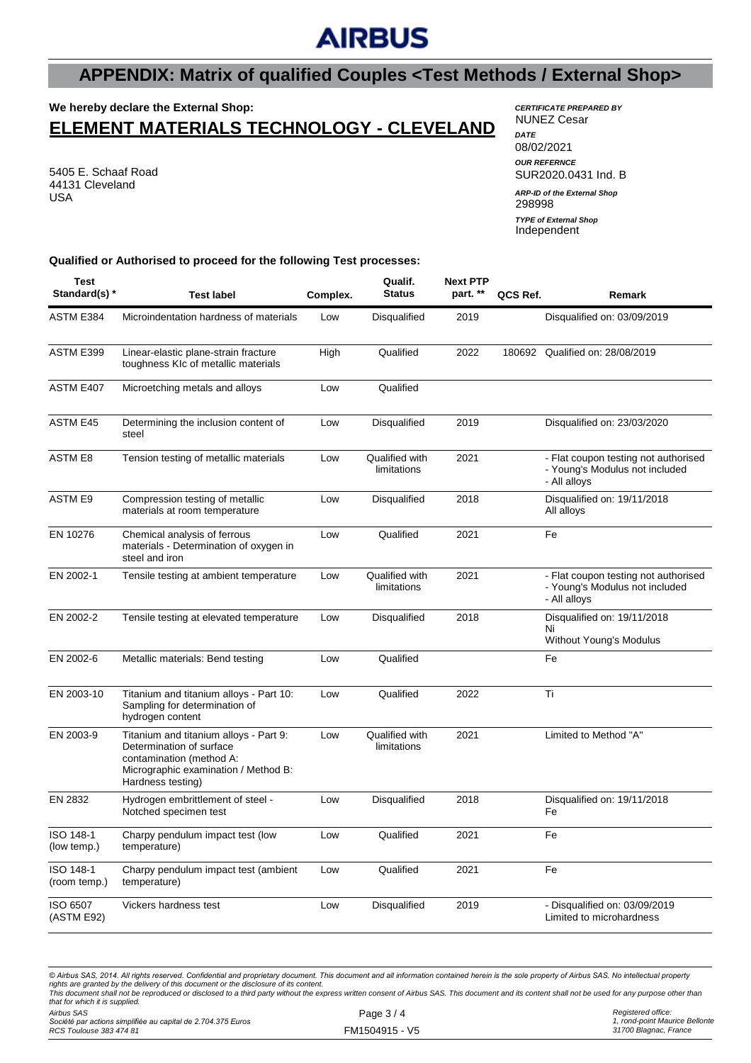# **AIRBUS**

## **APPENDIX: Matrix of qualified Couples <Test Methods / External Shop>**

## **We hereby declare the External Shop:**

## **ELEMENT MATERIALS TECHNOLOGY - CLEVELAND**

5405 E. Schaaf Road 44131 Cleveland USA

### *CERTIFICATE PREPARED BY* NUNEZ Cesar

*DATE* 08/02/2021 *OUR REFERNCE* SUR2020.0431 Ind. B 298998 Independent *ARP-ID of the External Shop TYPE of External Shop*

### **Qualified or Authorised to proceed for the following Test processes:**

| <b>Test</b><br>Standard(s) * | <b>Test label</b>                                                                                                                                           | Complex. | Qualif.<br><b>Status</b>      | <b>Next PTP</b><br>part. ** | QCS Ref. | Remark                                                                                 |
|------------------------------|-------------------------------------------------------------------------------------------------------------------------------------------------------------|----------|-------------------------------|-----------------------------|----------|----------------------------------------------------------------------------------------|
| ASTM E384                    | Microindentation hardness of materials                                                                                                                      | Low      | Disqualified                  | 2019                        |          | Disqualified on: 03/09/2019                                                            |
| ASTM E399                    | Linear-elastic plane-strain fracture<br>toughness KIc of metallic materials                                                                                 | High     | Qualified                     | 2022                        | 180692   | Qualified on: 28/08/2019                                                               |
| ASTM E407                    | Microetching metals and alloys                                                                                                                              | Low      | Qualified                     |                             |          |                                                                                        |
| <b>ASTM E45</b>              | Determining the inclusion content of<br>steel                                                                                                               | Low      | Disqualified                  | 2019                        |          | Disqualified on: 23/03/2020                                                            |
| <b>ASTM E8</b>               | Tension testing of metallic materials                                                                                                                       | Low      | Qualified with<br>limitations | 2021                        |          | - Flat coupon testing not authorised<br>- Young's Modulus not included<br>- All alloys |
| <b>ASTM E9</b>               | Compression testing of metallic<br>materials at room temperature                                                                                            | Low      | Disqualified                  | 2018                        |          | Disqualified on: 19/11/2018<br>All alloys                                              |
| EN 10276                     | Chemical analysis of ferrous<br>materials - Determination of oxygen in<br>steel and iron                                                                    | Low      | Qualified                     | 2021                        |          | Fe                                                                                     |
| EN 2002-1                    | Tensile testing at ambient temperature                                                                                                                      | Low      | Qualified with<br>limitations | 2021                        |          | - Flat coupon testing not authorised<br>- Young's Modulus not included<br>- All alloys |
| EN 2002-2                    | Tensile testing at elevated temperature                                                                                                                     | Low      | Disqualified                  | 2018                        |          | Disqualified on: 19/11/2018<br>Ni<br>Without Young's Modulus                           |
| EN 2002-6                    | Metallic materials: Bend testing                                                                                                                            | Low      | Qualified                     |                             |          | Fe                                                                                     |
| EN 2003-10                   | Titanium and titanium alloys - Part 10:<br>Sampling for determination of<br>hydrogen content                                                                | Low      | Qualified                     | 2022                        |          | Τi                                                                                     |
| EN 2003-9                    | Titanium and titanium alloys - Part 9:<br>Determination of surface<br>contamination (method A:<br>Micrographic examination / Method B:<br>Hardness testing) | Low      | Qualified with<br>limitations | 2021                        |          | Limited to Method "A"                                                                  |
| EN 2832                      | Hydrogen embrittlement of steel -<br>Notched specimen test                                                                                                  | Low      | Disqualified                  | 2018                        |          | Disqualified on: 19/11/2018<br>Fe                                                      |
| ISO 148-1<br>(low temp.)     | Charpy pendulum impact test (low<br>temperature)                                                                                                            | Low      | Qualified                     | 2021                        |          | Fe                                                                                     |
| ISO 148-1<br>(room temp.)    | Charpy pendulum impact test (ambient<br>temperature)                                                                                                        | Low      | Qualified                     | 2021                        |          | Fe                                                                                     |
| ISO 6507<br>(ASTM E92)       | Vickers hardness test                                                                                                                                       | Low      | Disqualified                  | 2019                        |          | - Disqualified on: 03/09/2019<br>Limited to microhardness                              |

*© Airbus SAS, 2014. All rights reserved. Confidential and proprietary document. This document and all information contained herein is the sole property of Airbus SAS. No intellectual property*  rights are granted by the delivery of this document or the disclosure of its content.<br>This document shall not be reproduced or disclosed to a third party without the express written consent of Airbus SAS. This document and *that for which it is supplied.*